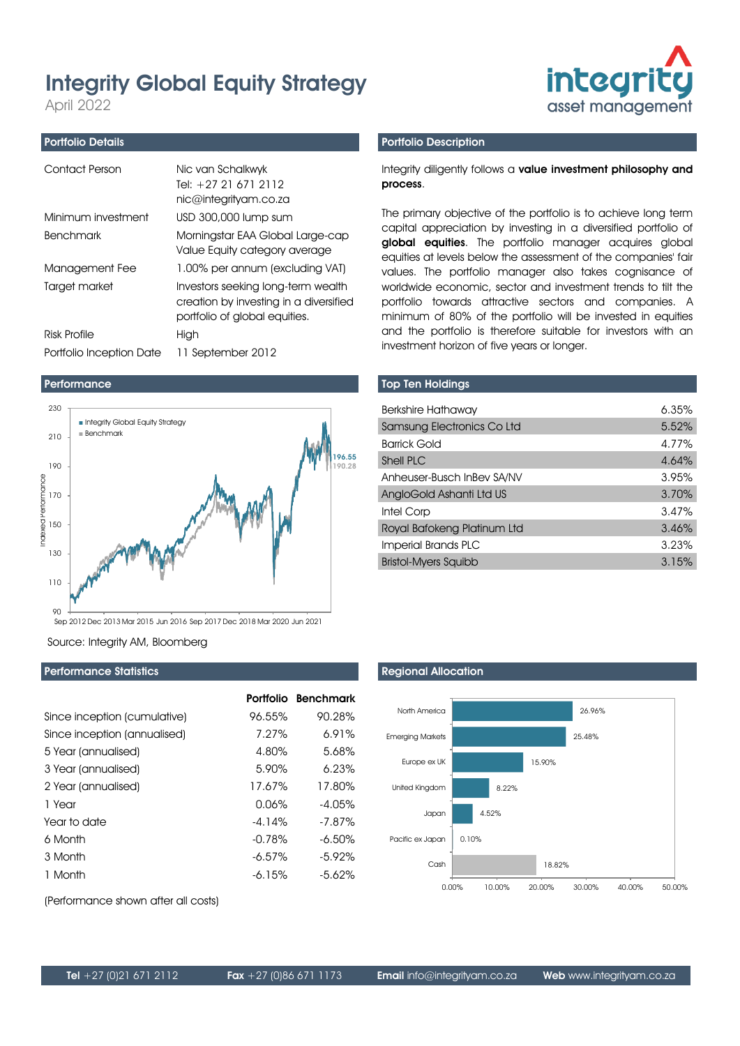# Integrity Global Equity Strategy

April 2022

#### Portfolio Details

| Contact Person           | Nic van Schalkwyk<br>Tel: +27 21 671 2112<br>nic@integrityam.co.za                                            |
|--------------------------|---------------------------------------------------------------------------------------------------------------|
| Minimum investment       | USD 300,000 lump sum                                                                                          |
| <b>Benchmark</b>         | Morningstar EAA Global Large-cap<br>Value Equity category average                                             |
| Management Fee           | 1.00% per annum (excluding VAT)                                                                               |
| Target market            | Investors seeking long-term wealth<br>creation by investing in a diversified<br>portfolio of global equities. |
| Risk Profile             | High                                                                                                          |
| Portfolio Inception Date | 11 September 2012                                                                                             |

#### Performance



Source: Integrity AM, Bloomberg

### Performance Statistics

|                              |           | Portfolio Benchmark |
|------------------------------|-----------|---------------------|
| Since inception (cumulative) | 96.55%    | 90.28%              |
| Since inception (annualised) | 7.27%     | 6.91%               |
| 5 Year (annualised)          | 4.80%     | 5.68%               |
| 3 Year (annualised)          | 5.90%     | 6.23%               |
| 2 Year (annualised)          | 17.67%    | 17.80%              |
| 1 Year                       | 0.06%     | $-4.05%$            |
| Year to date                 | $-4.14%$  | $-7.87%$            |
| 6 Month                      | $-0.78%$  | $-6.50\%$           |
| 3 Month                      | $-6.57\%$ | $-5.92%$            |
| 1 Month                      | $-6.15%$  | $-5.62\%$           |

(Performance shown after all costs)



#### Integrity diligently follows a value investment philosophy and process.

**integrity** 

The primary objective of the portfolio is to achieve long term capital appreciation by investing in a diversified portfolio of global equities. The portfolio manager acquires global equities at levels below the assessment of the companies' fair values. The portfolio manager also takes cognisance of worldwide economic, sector and investment trends to tilt the portfolio towards attractive sectors and companies. A minimum of 80% of the portfolio will be invested in equities and the portfolio is therefore suitable for investors with an investment horizon of five years or longer.

#### Top Ten Holdings

| <b>Berkshire Hathaway</b>   | 6.35% |
|-----------------------------|-------|
| Samsung Electronics Co Ltd  | 5.52% |
| <b>Barrick Gold</b>         | 4.77% |
| <b>Shell PLC</b>            | 4.64% |
| Anheuser-Busch InBev SA/NV  | 3.95% |
| AngloGold Ashanti Ltd US    | 3.70% |
| Intel Corp                  | 3.47% |
| Royal Bafokeng Platinum Ltd | 3.46% |
| Imperial Brands PLC         | 3.23% |
| <b>Bristol-Myers Squibb</b> | 3.15% |

## Regional Allocation